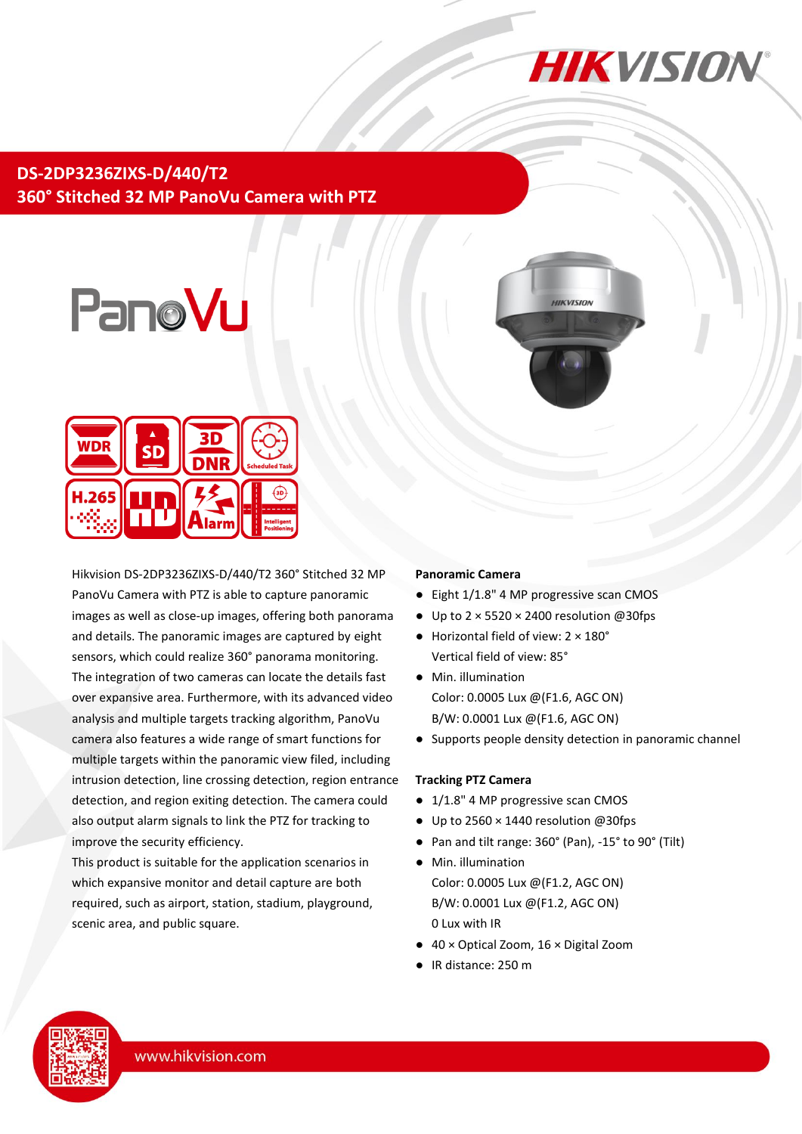

**DS-2DP3236ZIXS-D/440/T2 360° Stitched 32 MP PanoVu Camera with PTZ**





Hikvision DS-2DP3236ZIXS-D/440/T2 360° Stitched 32 MP PanoVu Camera with PTZ is able to capture panoramic images as well as close-up images, offering both panorama and details. The panoramic images are captured by eight sensors, which could realize 360° panorama monitoring. The integration of two cameras can locate the details fast over expansive area. Furthermore, with its advanced video analysis and multiple targets tracking algorithm, PanoVu camera also features a wide range of smart functions for multiple targets within the panoramic view filed, including intrusion detection, line crossing detection, region entrance detection, and region exiting detection. The camera could also output alarm signals to link the PTZ for tracking to improve the security efficiency.

This product is suitable for the application scenarios in which expansive monitor and detail capture are both required, such as airport, station, stadium, playground, scenic area, and public square.

#### **Panoramic Camera**

● Eight 1/1.8" 4 MP progressive scan CMOS

**HIKVISIO** 

- Up to  $2 \times 5520 \times 2400$  resolution @30fps
- Horizontal field of view: 2 × 180° Vertical field of view: 85°
- Min. illumination Color: 0.0005 Lux @(F1.6, AGC ON) B/W: 0.0001 Lux @(F1.6, AGC ON)
- Supports people density detection in panoramic channel

#### **Tracking PTZ Camera**

- 1/1.8" 4 MP progressive scan CMOS
- Up to 2560 × 1440 resolution @30fps
- Pan and tilt range: 360° (Pan), -15° to 90° (Tilt)
- Min. illumination Color: 0.0005 Lux @(F1.2, AGC ON) B/W: 0.0001 Lux @(F1.2, AGC ON) 0 Lux with IR
- 40 × Optical Zoom, 16 × Digital Zoom
- IR distance: 250 m

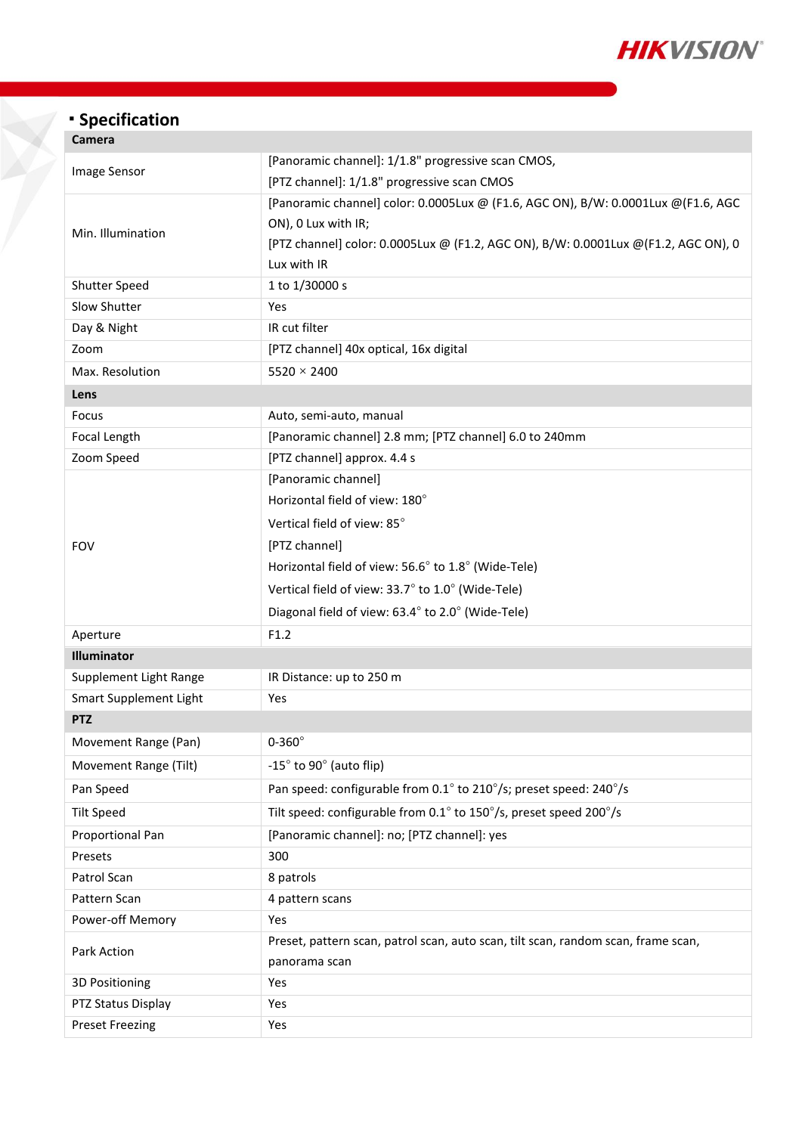

# **Specification**

| Camera                        |                                                                                                                                                                                                                |  |  |
|-------------------------------|----------------------------------------------------------------------------------------------------------------------------------------------------------------------------------------------------------------|--|--|
| Image Sensor                  | [Panoramic channel]: 1/1.8" progressive scan CMOS,<br>[PTZ channel]: 1/1.8" progressive scan CMOS                                                                                                              |  |  |
| Min. Illumination             | [Panoramic channel] color: 0.0005Lux @ (F1.6, AGC ON), B/W: 0.0001Lux @ (F1.6, AGC<br>ON), 0 Lux with IR;<br>[PTZ channel] color: 0.0005Lux @ (F1.2, AGC ON), B/W: 0.0001Lux @(F1.2, AGC ON), 0<br>Lux with IR |  |  |
| Shutter Speed                 | 1 to 1/30000 s                                                                                                                                                                                                 |  |  |
| Slow Shutter                  | Yes                                                                                                                                                                                                            |  |  |
| Day & Night                   | IR cut filter                                                                                                                                                                                                  |  |  |
| Zoom                          | [PTZ channel] 40x optical, 16x digital                                                                                                                                                                         |  |  |
| Max. Resolution               | $5520 \times 2400$                                                                                                                                                                                             |  |  |
| Lens                          |                                                                                                                                                                                                                |  |  |
| Focus                         | Auto, semi-auto, manual                                                                                                                                                                                        |  |  |
| Focal Length                  | [Panoramic channel] 2.8 mm; [PTZ channel] 6.0 to 240mm                                                                                                                                                         |  |  |
| Zoom Speed                    | [PTZ channel] approx. 4.4 s                                                                                                                                                                                    |  |  |
|                               | [Panoramic channel]                                                                                                                                                                                            |  |  |
|                               | Horizontal field of view: 180°                                                                                                                                                                                 |  |  |
|                               | Vertical field of view: 85°                                                                                                                                                                                    |  |  |
| <b>FOV</b>                    | [PTZ channel]                                                                                                                                                                                                  |  |  |
|                               | Horizontal field of view: 56.6° to 1.8° (Wide-Tele)                                                                                                                                                            |  |  |
|                               | Vertical field of view: 33.7° to 1.0° (Wide-Tele)                                                                                                                                                              |  |  |
|                               | Diagonal field of view: 63.4° to 2.0° (Wide-Tele)                                                                                                                                                              |  |  |
| Aperture                      | F1.2                                                                                                                                                                                                           |  |  |
| <b>Illuminator</b>            |                                                                                                                                                                                                                |  |  |
| Supplement Light Range        | IR Distance: up to 250 m                                                                                                                                                                                       |  |  |
| <b>Smart Supplement Light</b> | Yes                                                                                                                                                                                                            |  |  |
| <b>PTZ</b>                    |                                                                                                                                                                                                                |  |  |
| Movement Range (Pan)          | $0-360^\circ$                                                                                                                                                                                                  |  |  |
| Movement Range (Tilt)         | $-15^\circ$ to 90 $^\circ$ (auto flip)                                                                                                                                                                         |  |  |
| Pan Speed                     | Pan speed: configurable from 0.1° to 210°/s; preset speed: 240°/s                                                                                                                                              |  |  |
| <b>Tilt Speed</b>             | Tilt speed: configurable from 0.1° to 150°/s, preset speed 200°/s                                                                                                                                              |  |  |
| Proportional Pan              | [Panoramic channel]: no; [PTZ channel]: yes                                                                                                                                                                    |  |  |
| Presets                       | 300                                                                                                                                                                                                            |  |  |
| Patrol Scan                   | 8 patrols                                                                                                                                                                                                      |  |  |
| Pattern Scan                  | 4 pattern scans                                                                                                                                                                                                |  |  |
| Power-off Memory              | Yes                                                                                                                                                                                                            |  |  |
| Park Action                   | Preset, pattern scan, patrol scan, auto scan, tilt scan, random scan, frame scan,<br>panorama scan                                                                                                             |  |  |
| <b>3D Positioning</b>         | Yes                                                                                                                                                                                                            |  |  |
| PTZ Status Display            | Yes                                                                                                                                                                                                            |  |  |
| <b>Preset Freezing</b>        | Yes                                                                                                                                                                                                            |  |  |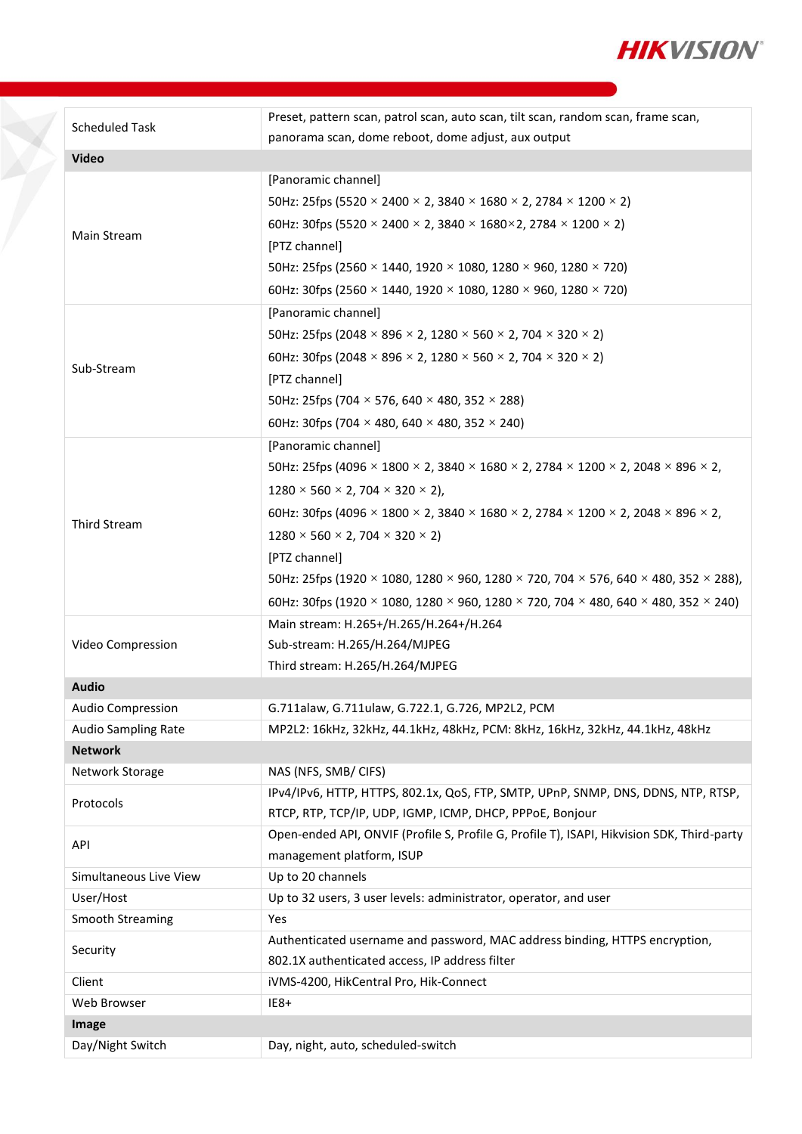

| <b>Scheduled Task</b>   | Preset, pattern scan, patrol scan, auto scan, tilt scan, random scan, frame scan,                                                       |  |
|-------------------------|-----------------------------------------------------------------------------------------------------------------------------------------|--|
|                         | panorama scan, dome reboot, dome adjust, aux output                                                                                     |  |
| <b>Video</b>            |                                                                                                                                         |  |
| Main Stream             | [Panoramic channel]                                                                                                                     |  |
|                         | 50Hz: 25fps (5520 $\times$ 2400 $\times$ 2, 3840 $\times$ 1680 $\times$ 2, 2784 $\times$ 1200 $\times$ 2)                               |  |
|                         | 60Hz: 30fps (5520 $\times$ 2400 $\times$ 2, 3840 $\times$ 1680 $\times$ 2, 2784 $\times$ 1200 $\times$ 2)                               |  |
|                         | [PTZ channel]                                                                                                                           |  |
|                         | 50Hz: 25fps (2560 × 1440, 1920 × 1080, 1280 × 960, 1280 × 720)                                                                          |  |
|                         | 60Hz: 30fps (2560 × 1440, 1920 × 1080, 1280 × 960, 1280 × 720)                                                                          |  |
|                         | [Panoramic channel]                                                                                                                     |  |
|                         | 50Hz: 25fps (2048 × 896 × 2, 1280 × 560 × 2, 704 × 320 × 2)                                                                             |  |
|                         | 60Hz: 30fps (2048 × 896 × 2, 1280 × 560 × 2, 704 × 320 × 2)                                                                             |  |
| Sub-Stream              | [PTZ channel]                                                                                                                           |  |
|                         | 50Hz: 25fps (704 $\times$ 576, 640 $\times$ 480, 352 $\times$ 288)                                                                      |  |
|                         | 60Hz: 30fps (704 $\times$ 480, 640 $\times$ 480, 352 $\times$ 240)                                                                      |  |
|                         | [Panoramic channel]                                                                                                                     |  |
|                         | 50Hz: 25fps (4096 $\times$ 1800 $\times$ 2, 3840 $\times$ 1680 $\times$ 2, 2784 $\times$ 1200 $\times$ 2, 2048 $\times$ 896 $\times$ 2, |  |
|                         | $1280 \times 560 \times 2,704 \times 320 \times 2$ ,                                                                                    |  |
|                         | 60Hz: 30fps (4096 $\times$ 1800 $\times$ 2, 3840 $\times$ 1680 $\times$ 2, 2784 $\times$ 1200 $\times$ 2, 2048 $\times$ 896 $\times$ 2, |  |
| Third Stream            | $1280 \times 560 \times 2,704 \times 320 \times 2$                                                                                      |  |
|                         | [PTZ channel]                                                                                                                           |  |
|                         | 50Hz: 25fps (1920 × 1080, 1280 × 960, 1280 × 720, 704 × 576, 640 × 480, 352 × 288),                                                     |  |
|                         | 60Hz: 30fps (1920 × 1080, 1280 × 960, 1280 × 720, 704 × 480, 640 × 480, 352 × 240)                                                      |  |
|                         | Main stream: H.265+/H.265/H.264+/H.264                                                                                                  |  |
| Video Compression       | Sub-stream: H.265/H.264/MJPEG                                                                                                           |  |
|                         | Third stream: H.265/H.264/MJPEG                                                                                                         |  |
| <b>Audio</b>            |                                                                                                                                         |  |
| Audio Compression       | G.711alaw, G.711ulaw, G.722.1, G.726, MP2L2, PCM                                                                                        |  |
| Audio Sampling Rate     | MP2L2: 16kHz, 32kHz, 44.1kHz, 48kHz, PCM: 8kHz, 16kHz, 32kHz, 44.1kHz, 48kHz                                                            |  |
| <b>Network</b>          |                                                                                                                                         |  |
| Network Storage         | NAS (NFS, SMB/ CIFS)                                                                                                                    |  |
| Protocols               | IPv4/IPv6, HTTP, HTTPS, 802.1x, QoS, FTP, SMTP, UPnP, SNMP, DNS, DDNS, NTP, RTSP,                                                       |  |
|                         | RTCP, RTP, TCP/IP, UDP, IGMP, ICMP, DHCP, PPPoE, Bonjour                                                                                |  |
| API                     | Open-ended API, ONVIF (Profile S, Profile G, Profile T), ISAPI, Hikvision SDK, Third-party                                              |  |
|                         | management platform, ISUP                                                                                                               |  |
| Simultaneous Live View  | Up to 20 channels                                                                                                                       |  |
| User/Host               | Up to 32 users, 3 user levels: administrator, operator, and user                                                                        |  |
| <b>Smooth Streaming</b> | Yes<br>Authenticated username and password, MAC address binding, HTTPS encryption,                                                      |  |
| Security                | 802.1X authenticated access, IP address filter                                                                                          |  |
| Client                  | iVMS-4200, HikCentral Pro, Hik-Connect                                                                                                  |  |
| Web Browser             | $IE8+$                                                                                                                                  |  |
| Image                   |                                                                                                                                         |  |
| Day/Night Switch        | Day, night, auto, scheduled-switch                                                                                                      |  |
|                         |                                                                                                                                         |  |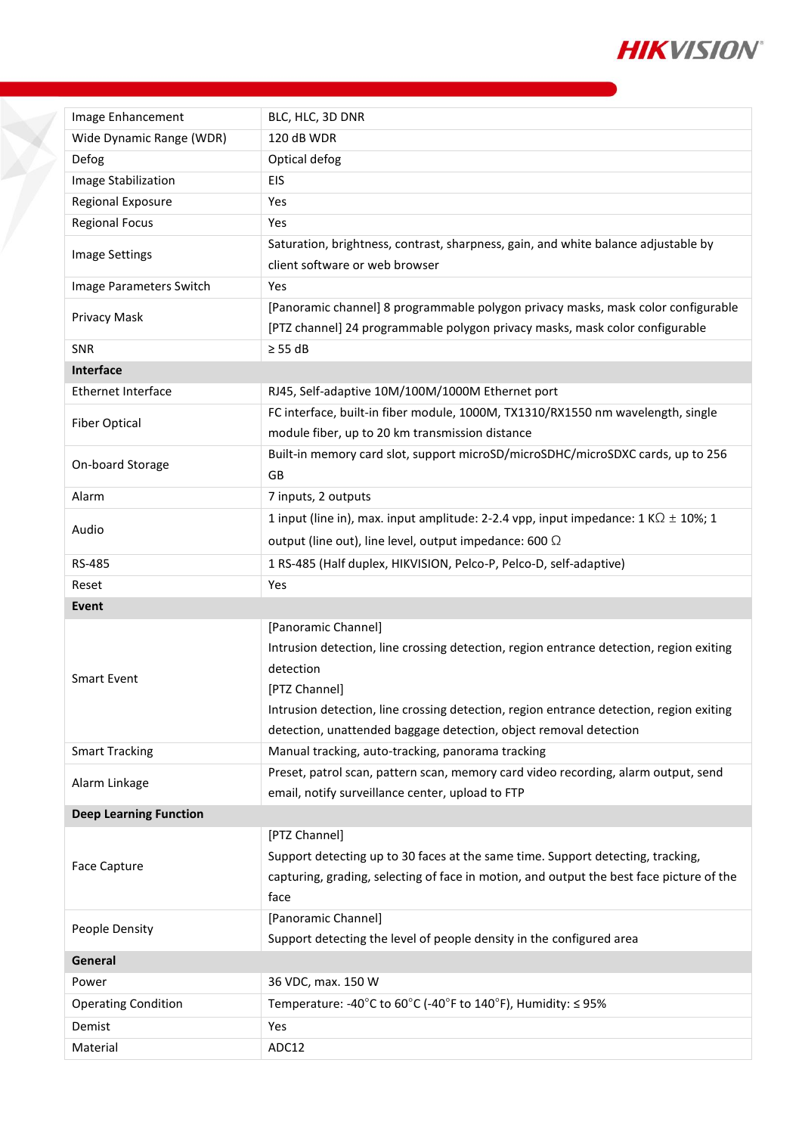

| Image Enhancement             | BLC, HLC, 3D DNR                                                                               |  |  |
|-------------------------------|------------------------------------------------------------------------------------------------|--|--|
| Wide Dynamic Range (WDR)      | 120 dB WDR                                                                                     |  |  |
| Defog                         | Optical defog                                                                                  |  |  |
| Image Stabilization           | <b>EIS</b>                                                                                     |  |  |
| Regional Exposure             | Yes                                                                                            |  |  |
| <b>Regional Focus</b>         | Yes                                                                                            |  |  |
|                               | Saturation, brightness, contrast, sharpness, gain, and white balance adjustable by             |  |  |
| Image Settings                | client software or web browser                                                                 |  |  |
| Image Parameters Switch       | Yes                                                                                            |  |  |
|                               | [Panoramic channel] 8 programmable polygon privacy masks, mask color configurable              |  |  |
| Privacy Mask                  | [PTZ channel] 24 programmable polygon privacy masks, mask color configurable                   |  |  |
| <b>SNR</b>                    | $\geq$ 55 dB                                                                                   |  |  |
| Interface                     |                                                                                                |  |  |
| <b>Ethernet Interface</b>     | RJ45, Self-adaptive 10M/100M/1000M Ethernet port                                               |  |  |
| <b>Fiber Optical</b>          | FC interface, built-in fiber module, 1000M, TX1310/RX1550 nm wavelength, single                |  |  |
|                               | module fiber, up to 20 km transmission distance                                                |  |  |
| On-board Storage              | Built-in memory card slot, support microSD/microSDHC/microSDXC cards, up to 256                |  |  |
|                               | <b>GB</b>                                                                                      |  |  |
| Alarm                         | 7 inputs, 2 outputs                                                                            |  |  |
|                               | 1 input (line in), max. input amplitude: 2-2.4 vpp, input impedance: 1 K $\Omega$ $\pm$ 10%; 1 |  |  |
| Audio                         | output (line out), line level, output impedance: 600 $\Omega$                                  |  |  |
| RS-485                        | 1 RS-485 (Half duplex, HIKVISION, Pelco-P, Pelco-D, self-adaptive)                             |  |  |
|                               |                                                                                                |  |  |
| Reset                         | Yes                                                                                            |  |  |
| Event                         |                                                                                                |  |  |
|                               | [Panoramic Channel]                                                                            |  |  |
|                               | Intrusion detection, line crossing detection, region entrance detection, region exiting        |  |  |
|                               | detection                                                                                      |  |  |
| <b>Smart Event</b>            | [PTZ Channel]                                                                                  |  |  |
|                               | Intrusion detection, line crossing detection, region entrance detection, region exiting        |  |  |
|                               | detection, unattended baggage detection, object removal detection                              |  |  |
| <b>Smart Tracking</b>         | Manual tracking, auto-tracking, panorama tracking                                              |  |  |
|                               | Preset, patrol scan, pattern scan, memory card video recording, alarm output, send             |  |  |
| Alarm Linkage                 | email, notify surveillance center, upload to FTP                                               |  |  |
| <b>Deep Learning Function</b> |                                                                                                |  |  |
|                               | [PTZ Channel]                                                                                  |  |  |
|                               | Support detecting up to 30 faces at the same time. Support detecting, tracking,                |  |  |
| Face Capture                  | capturing, grading, selecting of face in motion, and output the best face picture of the       |  |  |
|                               | face                                                                                           |  |  |
|                               | [Panoramic Channel]                                                                            |  |  |
| People Density                | Support detecting the level of people density in the configured area                           |  |  |
| General                       |                                                                                                |  |  |
| Power                         | 36 VDC, max. 150 W                                                                             |  |  |
| <b>Operating Condition</b>    | Temperature: -40°C to 60°C (-40°F to 140°F), Humidity: $\leq$ 95%                              |  |  |
| Demist                        | Yes<br>ADC12                                                                                   |  |  |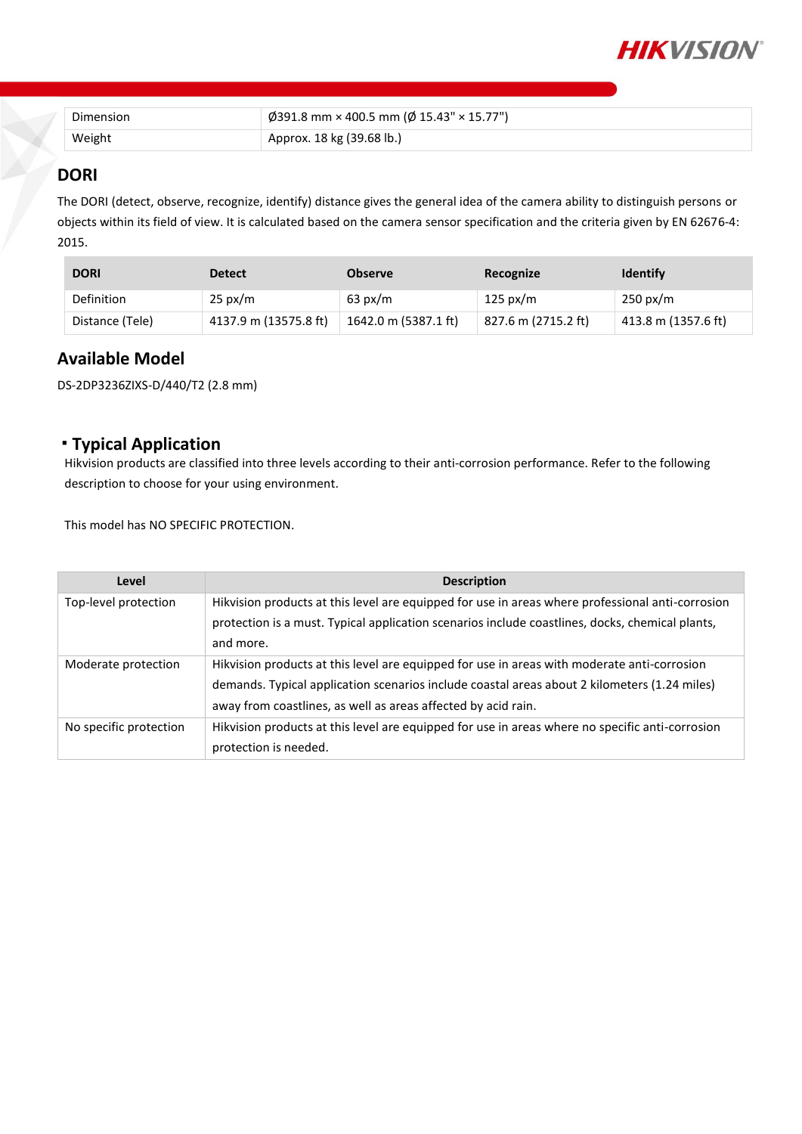

| Dimension | $\phi$ 391.8 mm × 400.5 mm ( $\phi$ 15.43" × 15.77") |
|-----------|------------------------------------------------------|
| Weight    | Approx. 18 kg (39.68 lb.)                            |

### **DORI**

The DORI (detect, observe, recognize, identify) distance gives the general idea of the camera ability to distinguish persons or objects within its field of view. It is calculated based on the camera sensor specification and the criteria given by EN 62676-4: 2015.

| <b>DORI</b>     | <b>Detect</b>         | <b>Observe</b>       | Recognize           | <b>Identify</b>     |
|-----------------|-----------------------|----------------------|---------------------|---------------------|
| Definition      | $25 \text{ px/m}$     | $63 \text{ px/m}$    | 125 px/m            | $250 \text{ px/m}$  |
| Distance (Tele) | 4137.9 m (13575.8 ft) | 1642.0 m (5387.1 ft) | 827.6 m (2715.2 ft) | 413.8 m (1357.6 ft) |

#### **Available Model**

DS-2DP3236ZIXS-D/440/T2 (2.8 mm)

### **Typical Application**

Hikvision products are classified into three levels according to their anti-corrosion performance. Refer to the following description to choose for your using environment.

This model has NO SPECIFIC PROTECTION.

| Level                  | <b>Description</b>                                                                               |
|------------------------|--------------------------------------------------------------------------------------------------|
| Top-level protection   | Hikvision products at this level are equipped for use in areas where professional anti-corrosion |
|                        | protection is a must. Typical application scenarios include coastlines, docks, chemical plants,  |
|                        | and more.                                                                                        |
| Moderate protection    | Hikvision products at this level are equipped for use in areas with moderate anti-corrosion      |
|                        | demands. Typical application scenarios include coastal areas about 2 kilometers (1.24 miles)     |
|                        | away from coastlines, as well as areas affected by acid rain.                                    |
| No specific protection | Hikvision products at this level are equipped for use in areas where no specific anti-corrosion  |
|                        | protection is needed.                                                                            |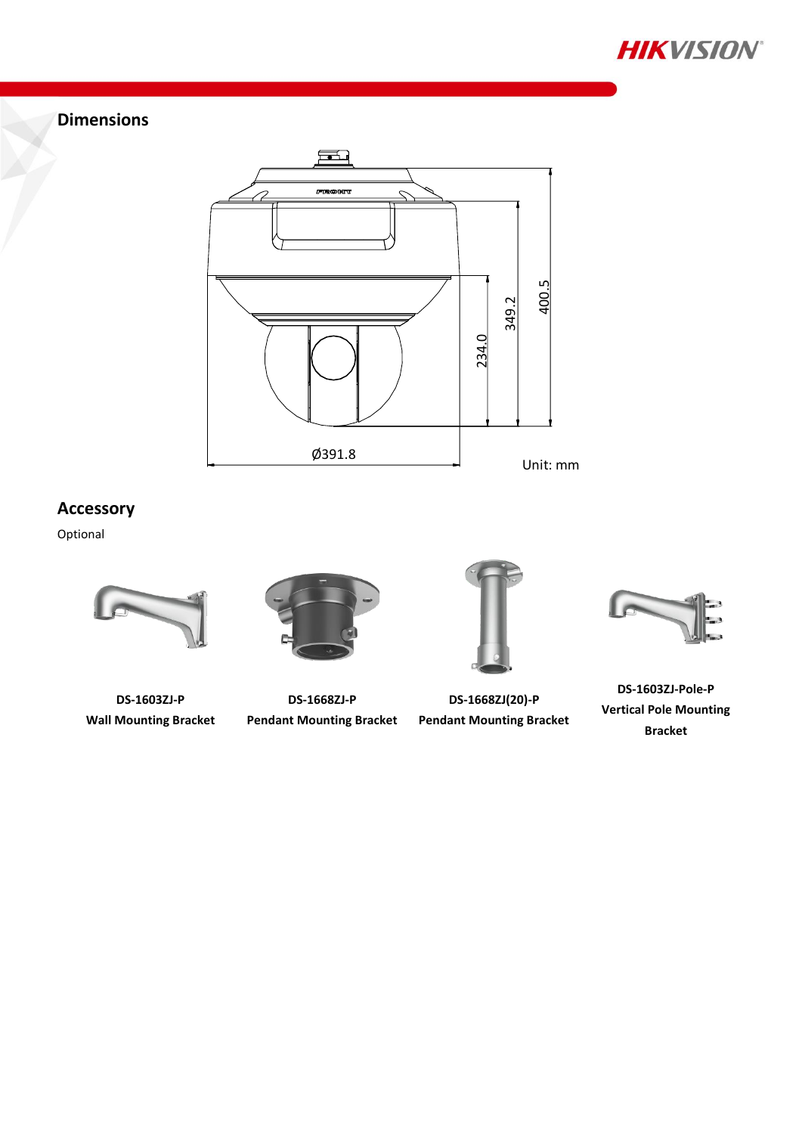

## **Dimensions**



## **Accessory**

Optional



**DS-1603ZJ-P Wall Mounting Bracket**



**DS-1668ZJ-P Pendant Mounting Bracket**

**DS-1668ZJ(20)-P Pendant Mounting Bracket**



**DS-1603ZJ-Pole-P Vertical Pole Mounting Bracket**